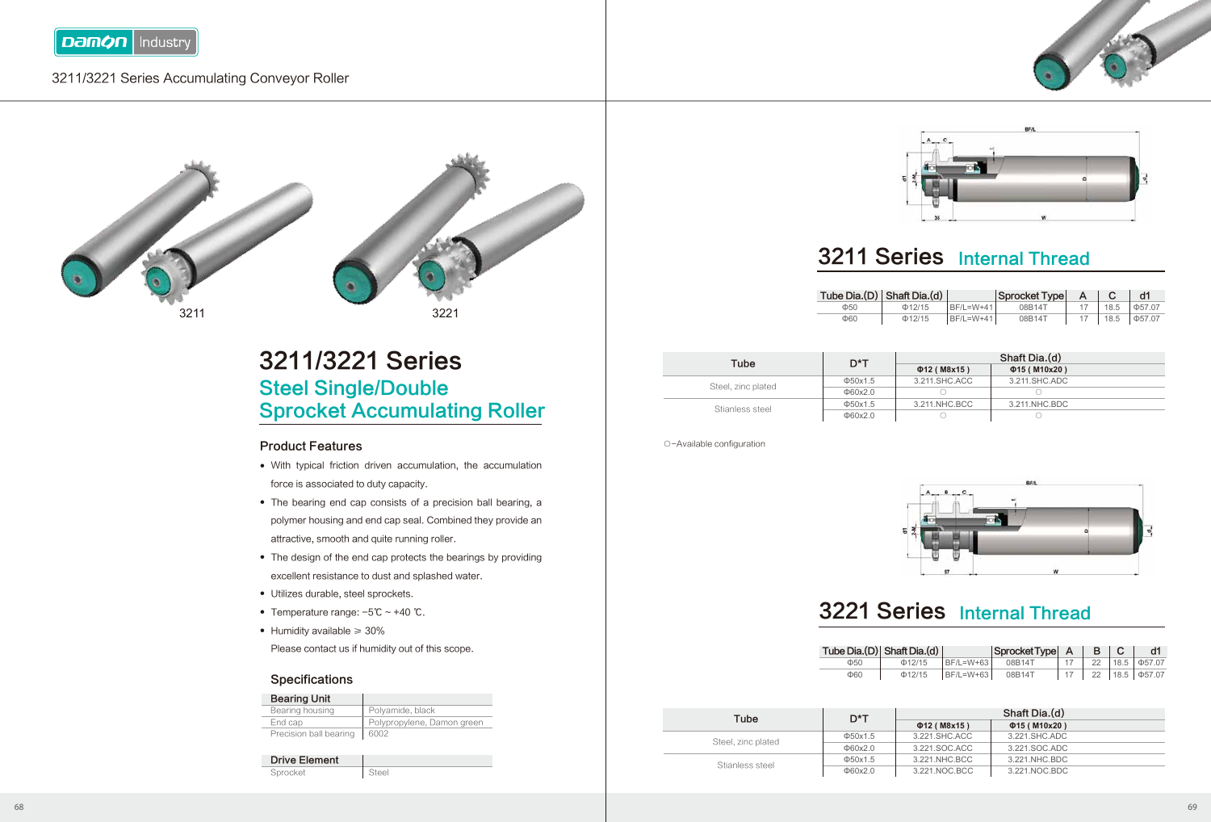

### 3211/3221 Series Accumulating Conveyor Roller



3211/3221 Series Steel Single/Double Sprocket Accumulating Roller

#### Product Features

- With typical friction driven accumulation, the accumulation force is associated to duty capacity.
- The bearing end cap consists of a precision ball bearing, a polymer housing and end cap seal. Combined they provide an attractive, smooth and quite running roller.
- The design of the end cap protects the bearings by providing excellent resistance to dust and splashed water.
- Utilizes durable, steel sprockets.
- Temperature range: -5℃ ~ +40 ℃.
- Humidity available ≥ 30% ●

Please contact us if humidity out of this scope.

#### **Specifications**

| <b>Bearing Unit</b>    |                            |
|------------------------|----------------------------|
| Bearing housing        | Polvamide, black           |
| End cap                | Polypropylene, Damon green |
| Precision ball bearing | 6002                       |

| <b>Drive Element</b> |       |
|----------------------|-------|
| Sprocket             | Steel |